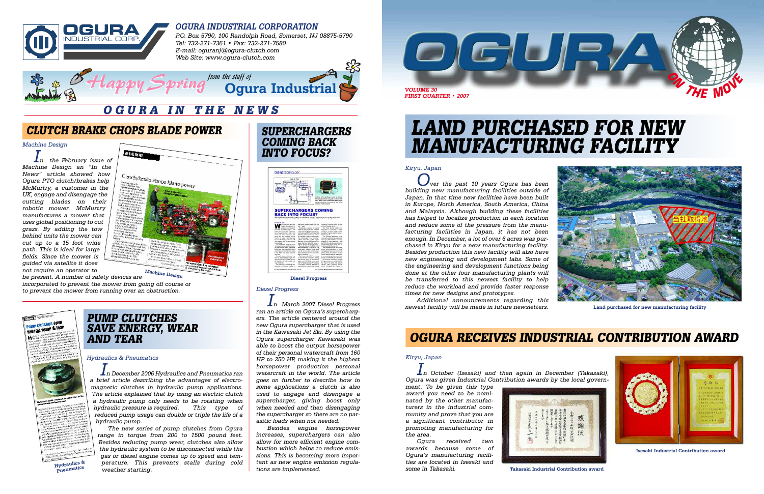

#### **OGURA INDUSTRIAL CORPORATION**



*P.O. Box 5790, 100 Randolph Road, Somerset, NJ 08875-5790 Tel: 732-271-7361 • Fax: 732-271-7580 E-mail: oguranj@ogura-clutch.com Web Site: www.ogura-clutch.com*

# **LAND PURCHASED FOR NEW MANUFACTURING FACILITY**

### **OGURA IN THE NEWS**



**Land purchased for new manufacturing facility**

#### *Diesel Progress*

*In March 2007 Diesel Progress ran an article on Ogura's superchargers. The article centered around the new Ogura supercharger that is used in the Kawasaki Jet Ski. By using the Ogura supercharger Kawasaki was able to boost the output horsepower of their personal watercraft from 160 HP to 250 HP, making it the highest horsepower production personal watercraft in the world. The article goes on further to describe how in some applications a clutch is also used to engage and disengage a supercharger, giving boost only when needed and then disengaging the supercharger so there are no parasitic loads when not needed.* 

*Besides engine horsepower increases, superchargers can also allow for more efficient engine combustion which helps to reduce emissions. This is becoming more important as new engine emission regulations are implemented.* 

### **OGURA RECEIVES INDUSTRIAL CONTRIBUTION AWARD**



**Isesaki Industrial Contribution award**

**Diesel Progress**

#### *Kiryu, Japan*

*Over the past 10 years Ogura has been building new manufacturing facilities outside of Japan. In that time new facilities have been built in Europe, North America, South America, China and Malaysia. Although building these facilities has helped to localize production in each location and reduce some of the pressure from the manufacturing facilities in Japan, it has not been enough. In December, a lot of over 6 acres was purchased in Kiryu for a new manufacturing facility. Besides production this new facility will also have new engineering and development labs. Some of the engineering and development functions being done at the other four manufacturing plants will be transferred to this newest facility to help reduce the workload and provide faster response times for new designs and prototypes.*

**SUPERCHARGERS COMING BACK INTO FOCUS? ENGINE TECHNOLOGY SUPERCHARGERS CON<br>BACK INTO FOCUS?** 

> *Additional announcements regarding this newest facility will be made in future newsletters.*



#### *Kiryu, Japan*

*In October (Isesaki) and then again in December (Takasaki), Ogura was given Industrial Contribution awards by the local govern-*

*ment. To be given this type award you need to be nominated by the other manufacturers in the industrial community and prove that you are a significant contributor in promoting manufacturing for the area.*

*Ogura received two awards because some of Ogura's manufacturing facilities are located in Isesaki and some in Takasaki.*

#### *Hydraulics & Pneumatics*

*In December 2006 Hydraulics and Pneumatics ran a brief article describing the advantages of electromagnetic clutches in hydraulic pump applications. The article explained that by using an electric clutch a hydraulic pump only needs to be rotating when hydraulic pressure is required. This type of reduced pump usage can double or triple the life of a hydraulic pump.*

*The new series of pump clutches from Ogura range in torque from 200 to 1500 pound feet. Besides reducing pump wear, clutches also allow the hydraulic system to be disconnected while the gas or diesel engine comes up to speed and temperature. This prevents stalls during cold weather starting.* 

### **CLUTCH BRAKE CHOPS BLADE POWER**

*Machine Design*

*In the February issue of Machine Design an "In the News" article showed how Ogura PTO clutch/brakes help McMurtry, a customer in the UK, engage and disengage the cutting blades on their robotic mower. McMurtry manufactures a mower that uses global positioning to cut grass. By adding the tow behind units the mower can cut up to a 15 foot wide path. This is ideal for large fields. Since the mower is guided via satellite it does not require an operator to*

*be present. A number of safety devices are*

*incorporated to prevent the mower from going off course or to prevent the mower from running over an obstruction.*



### **PUMP CLUTCHES SAVE ENERGY, WEAR AND TEAR**

**Hydraulics & Pneumatics**





**Takasaki Industrial Contribution award**